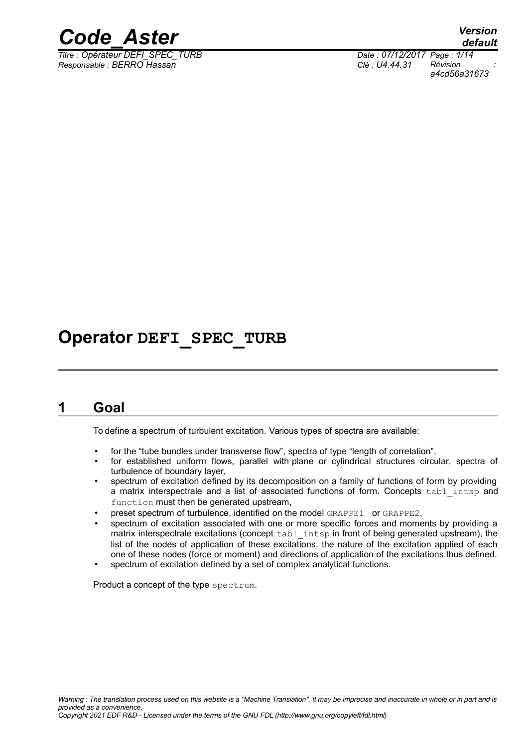

*Responsable : BERRO Hassan Clé : U4.44.31 Révision :*

*default Titre : Opérateur DEFI\_SPEC\_TURB Date : 07/12/2017 Page : 1/14 a4cd56a31673*

## **Operator DEFI\_SPEC\_TURB**

### **1 Goal**

To define a spectrum of turbulent excitation. Various types of spectra are available:

- for the "tube bundles under transverse flow", spectra of type "length of correlation",
- for established uniform flows, parallel with plane or cylindrical structures circular, spectra of turbulence of boundary layer,
- spectrum of excitation defined by its decomposition on a family of functions of form by providing a matrix interspectrale and a list of associated functions of form. Concepts tabl intsp and function must then be generated upstream,
- preset spectrum of turbulence, identified on the model GRAPPE1 or GRAPPE2,
- spectrum of excitation associated with one or more specific forces and moments by providing a matrix interspectrale excitations (concept tabl intsp in front of being generated upstream), the list of the nodes of application of these excitations, the nature of the excitation applied of each one of these nodes (force or moment) and directions of application of the excitations thus defined.
- spectrum of excitation defined by a set of complex analytical functions.

Product a concept of the type spectrum.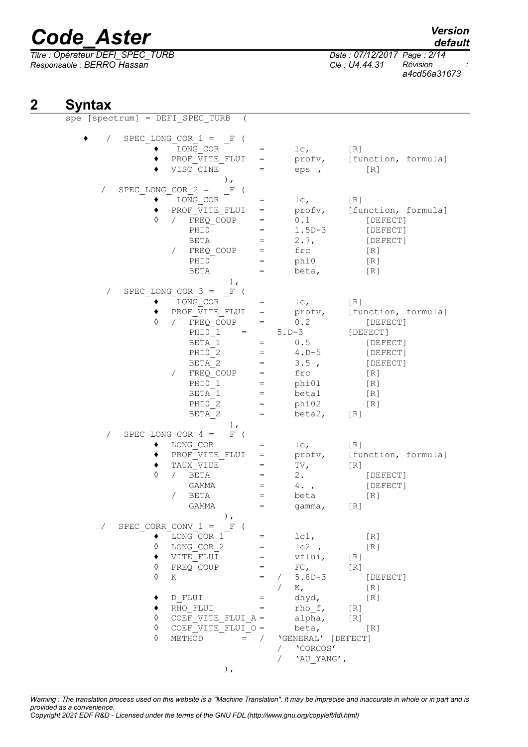*Titre : Opérateur DEFI\_SPEC\_TURB Date : 07/12/2017 Page : 2/14 Responsable : BERRO Hassan Clé : U4.44.31 Révision :*

*default*

*a4cd56a31673*

## **2 Syntax**

|            |                     |   | $spe [spectrum] = DEFI SPEC TURB$      |       |            |                    |                            |
|------------|---------------------|---|----------------------------------------|-------|------------|--------------------|----------------------------|
| $\sqrt{2}$ |                     |   | SPEC LONG COR $1 = F$ (<br>LONG COR    | $=$   |            | lc <sub>1</sub>    | [R]                        |
|            |                     |   | PROF VITE FLUI                         | $=$   |            |                    | profv, [function, formula] |
|            |                     |   | VISC CINE                              | $=$   |            | eps,               | [R]                        |
|            |                     |   | $\,$ ,                                 |       |            |                    |                            |
| $\sqrt{2}$ | SPEC LONG COR $2 =$ |   | $F$ (                                  |       |            |                    |                            |
|            |                     |   | LONG COR                               | $=$   |            | $1c_{\ell}$        | [R]                        |
|            |                     |   | PROF VITE FLUI                         | $=$   |            | profv,             | [function, formula]        |
|            |                     | ♦ | FREQ COUP<br>$\sqrt{2}$                | $=$   |            | 0.1                | [DEFECT]                   |
|            |                     |   | PHI0                                   | $=$   |            | $1.5D-3$           | [DEFECT]                   |
|            |                     |   | BETA                                   | $=$   |            | 2.7,               | [DEFECT]                   |
|            |                     |   | $\sqrt{2}$<br>FREQ COUP                | $=$   |            | frc                | [R]                        |
|            |                     |   | PHI0                                   | $=$   |            | phi0               | [R]                        |
|            |                     |   | BETA                                   | $=$   |            | beta,              | [R]                        |
|            |                     |   | $\,$ ,<br>SPEC LONG COR $3 =$          |       |            |                    |                            |
| $\sqrt{2}$ |                     |   | F(<br>LONG COR                         | $=$   |            | lc <sub>1</sub>    | [R]                        |
|            |                     |   | PROF VITE FLUI                         | $=$   |            | profv,             | [function, formula]        |
|            |                     | ♦ | $\sqrt{2}$<br>FREQ COUP                | $=$   |            | 0.2                | [DEFECT]                   |
|            |                     |   | PHIO 1<br>$=$                          |       |            | $5. D - 3$         | [DEFECT]                   |
|            |                     |   | BETA 1                                 | $=$   |            | 0.5                | [DEFECT]                   |
|            |                     |   | PHIO <sub>2</sub>                      | $=$   |            | $4. D-5$           | [DEFECT]                   |
|            |                     |   | BETA 2                                 | $=$   |            | 3.5,               | [DEFECT]                   |
|            |                     |   | FREQ COUP<br>$\sqrt{2}$                | $=$   |            | frc                | [R]                        |
|            |                     |   | PHIO 1                                 | $=$   |            | phi01              | [R]                        |
|            |                     |   | BETA 1                                 | $=$   |            | beta1              | [R]                        |
|            |                     |   | PHIO <sub>2</sub>                      | $=$   |            | phi02              | [R]                        |
|            |                     |   | BETA 2                                 | $=$   |            | beta2,             | [R]                        |
| $\sqrt{2}$ |                     |   | $\,$ ,<br>SPEC LONG COR $4 =$<br>F(    |       |            |                    |                            |
|            |                     |   | LONG COR                               | $=$   |            | $1c_{\ell}$        | [R]                        |
|            |                     |   | PROF VITE FLUI                         | $=$   |            | profv,             | [function, formula]        |
|            |                     |   | TAUX VIDE                              | $=$   |            | TV,                | [R]                        |
|            |                     | ♦ | $\sqrt{2}$<br>BETA                     | $=$   |            | $2$ .              | [DEFECT]                   |
|            |                     |   | GAMMA                                  | $=$   |            | 4.7                | [DEFECT]                   |
|            |                     |   | 7<br>BETA                              | $=$   |            | beta               | [R]                        |
|            |                     |   | GAMMA                                  | $=$   |            | qamma,             | [R]                        |
|            |                     |   | $\,$ , $\,$                            |       |            |                    |                            |
| $\sqrt{2}$ |                     |   | SPEC CORR CONV $1 = F$ (<br>LONG COR 1 |       | $=$ $\sim$ | 1c1,               | [R]                        |
|            |                     | ♦ | LONG COR 2                             |       |            | $1c2$ ,            | [R]                        |
|            |                     |   | VITE FLUI                              | $=$   |            | $vflui,$ [R]       |                            |
|            |                     | ♦ | FREQ COUP                              | $=$   |            | $FC$ ,             | [R]                        |
|            |                     | ♦ | K                                      | $=$   |            | $5.8D - 3$         | [DEFECT]                   |
|            |                     |   |                                        |       |            | $K_{\ell}$         | [R]                        |
|            |                     |   | D FLUI                                 | $=$   |            | dhyd,              | [R]                        |
|            |                     |   | RHO FLUI                               | $=$   |            | rho f,             | [R]                        |
|            |                     | ♦ | COEF VITE FLUI A =                     |       |            | alpha,             | [R]                        |
|            |                     | ♦ | COEF VITE FLUI O =                     |       |            | beta,              | [R]                        |
|            |                     | ♦ | METHOD                                 | $=$ / |            | 'GENERAL' [DEFECT] |                            |
|            |                     |   |                                        |       | $\sqrt{2}$ | 'CORCOS'           |                            |
|            |                     |   | $)$ ,                                  |       |            | 'AU YANG',         |                            |
|            |                     |   |                                        |       |            |                    |                            |

*Warning : The translation process used on this website is a "Machine Translation". It may be imprecise and inaccurate in whole or in part and is provided as a convenience.*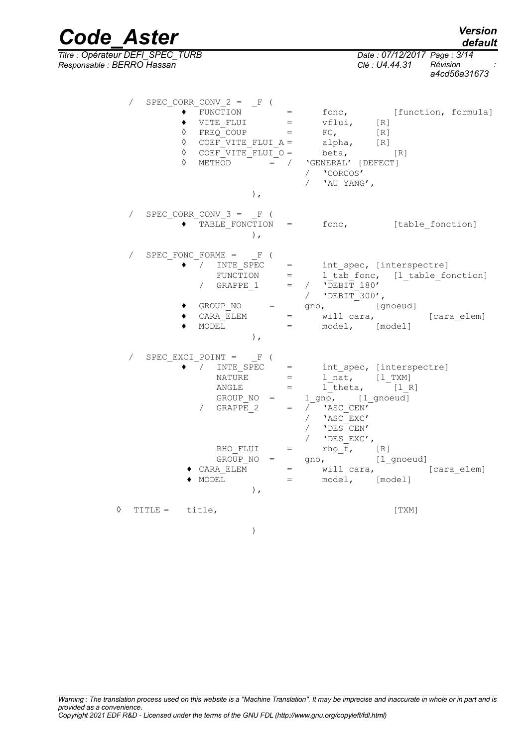| <b>Code Aster</b>                                              |                                                                                                                                                                                                                                           | <b>Version</b><br>default                                                                                                                                                                                                               |
|----------------------------------------------------------------|-------------------------------------------------------------------------------------------------------------------------------------------------------------------------------------------------------------------------------------------|-----------------------------------------------------------------------------------------------------------------------------------------------------------------------------------------------------------------------------------------|
| Titre : Opérateur DEFI_SPEC_TURB<br>Responsable : BERRO Hassan |                                                                                                                                                                                                                                           | Date: 07/12/2017 Page: 3/14<br>Révision<br>Clé : U4.44.31<br>a4cd56a31673                                                                                                                                                               |
| ♦<br>♦                                                         | SPEC CORR_CONV_2 = $_F$ (<br>$FUNCTION =$<br>$\mathtt{VITE\_FLUI} \qquad \qquad = \qquad \mathtt{vflui,}$<br>$FREQ$ COUP $=$<br>$\Diamond$ COEF_VITE_FLUI_A = alpha,<br>$\Diamond$ COEF VITE FLUI $\circ$ = beta, [R]<br>METHOD<br>$\,$ , | fonc, [function, formula]<br>[R]<br>FC,<br>[R]<br>[R]<br>$=$ / $'GENERAL'$ [DEFECT]<br>/ 'CORCOS'<br>/ $'$ AU YANG',                                                                                                                    |
| $\sqrt{2}$                                                     | SPEC CORR_CONV_3 = $_F$ (<br>$\,$ ,                                                                                                                                                                                                       | TABLE FONCTION = fonc, [table fonction]                                                                                                                                                                                                 |
| $\sqrt{2}$                                                     | SPEC FONC FORME $=$ $F($<br>$\sqrt{2}$<br>/ GRAPPE_1 = / $\overline{DEBIT}$ 180'<br>MODEL<br>$\,$ ,                                                                                                                                       | $\texttt{INTE\_SPEC} \quad = \quad \texttt{int\_spec, [intersectrec]}$<br>FUNCTION = $1\_tab\_fonc$ , $[1\_table\_fonction]$<br>/ 'DEBIT 300',<br>GROUP_NO = gno, [gnoeud]<br>CARA_ELEM = will cara,<br>[cara elem]<br>= model, [model] |
| $\sqrt{2}$                                                     | SPEC EXCI_POINT = $_F$ (<br>$\begin{array}{ccc}\n\text{NATURE} & = & \end{array}$<br>$\Box$ ANGLE $\Box$ =<br>GROUP $NO =$<br>GRAPPE 2<br>$\sqrt{2}$<br>$=$<br>RHO FLUI<br>$=$                                                            | INTE_SPEC = int_spec, [interspectre]<br>$1$ <sub>nat</sub> , $[1$ <sup>TXM</sup> ]<br>$l_{\text{theta}}$ , $[l_{\text{R}}]$<br>1_gno, [1_gnoeud]<br>/ 'ASC CEN'<br>$\sqrt{2}$<br>'ASC EXC'<br>'DES CEN'<br>'DES EXC',<br>rho f,<br>[R]  |
|                                                                | $GROUP NO =$<br>CARA ELEM<br>MODEL<br>$\,$ ,                                                                                                                                                                                              | [1_gnoeud]<br>gno,<br>will cara,<br>[cara elem]<br>$\equiv$ 1000 $\pm$<br>[model]<br>model,<br>$=$ $\sim$ $\sim$                                                                                                                        |
| ♦<br>TITLE = title,                                            |                                                                                                                                                                                                                                           | [TXM]                                                                                                                                                                                                                                   |

*a4cd56a31673*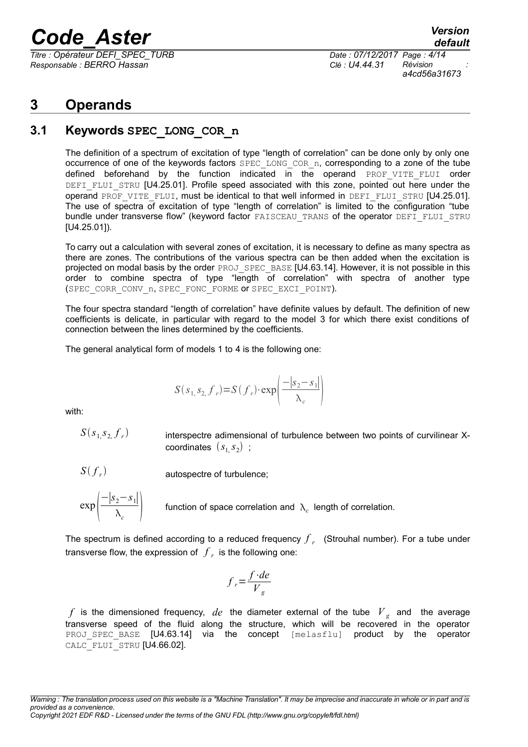*Titre : Opérateur DEFI\_SPEC\_TURB Date : 07/12/2017 Page : 4/14 Responsable : BERRO Hassan Clé : U4.44.31 Révision :*

*a4cd56a31673*

### **3 Operands**

### **3.1 Keywords SPEC\_LONG\_COR\_n**

The definition of a spectrum of excitation of type "length of correlation" can be done only by only one occurrence of one of the keywords factors SPEC LONG COR n, corresponding to a zone of the tube defined beforehand by the function indicated in the operand PROF VITE FLUI order DEFI\_FLUI\_STRU [U4.25.01]. Profile speed associated with this zone, pointed out here under the operand PROF VITE FLUI, must be identical to that well informed in DEFI\_FLUI\_STRU [U4.25.01]. The use of spectra of excitation of type "length of correlation" is limited to the configuration "tube bundle under transverse flow" (keyword factor FAISCEAU TRANS of the operator DEFI\_FLUI\_STRU [U4.25.01]).

To carry out a calculation with several zones of excitation, it is necessary to define as many spectra as there are zones. The contributions of the various spectra can be then added when the excitation is projected on modal basis by the order PROJ\_SPEC\_BASE [U4.63.14]. However, it is not possible in this order to combine spectra of type "length of correlation" with spectra of another type (SPEC\_CORR\_CONV\_n, SPEC\_FONC\_FORME OF SPEC\_EXCI\_POINT).

The four spectra standard "length of correlation" have definite values by default. The definition of new coefficients is delicate, in particular with regard to the model 3 for which there exist conditions of connection between the lines determined by the coefficients.

The general analytical form of models 1 to 4 is the following one:

$$
S(s_1, s_2, f_r) = S(f_r) \cdot \exp\left(\frac{-|s_2 - s_1|}{\lambda_c}\right)
$$

with:

 $S(s_{1,} s_{2,} f_{r})$ 

interspectre adimensional of turbulence between two points of curvilinear X- $\textsf{coordinates} \;\left(s_{1,} s_{2}\right)$  ;

*S f r*

autospectre of turbulence;



function of space correlation and  $\Lambda_c$  length of correlation.

The spectrum is defined according to a reduced frequency *f r* (Strouhal number). For a tube under transverse flow, the expression of *f r* is the following one:

$$
f_r = \frac{f \cdot de}{V_g}
$$

 $f$  is the dimensioned frequency,  $de$  the diameter external of the tube  $\overline{V}_g$  and the average transverse speed of the fluid along the structure, which will be recovered in the operator PROJ SPEC BASE [U4.63.14] via the concept [melasflu] product by the operator CALC\_FLUI\_STRU [U4.66.02].

*Warning : The translation process used on this website is a "Machine Translation". It may be imprecise and inaccurate in whole or in part and is provided as a convenience. Copyright 2021 EDF R&D - Licensed under the terms of the GNU FDL (http://www.gnu.org/copyleft/fdl.html)*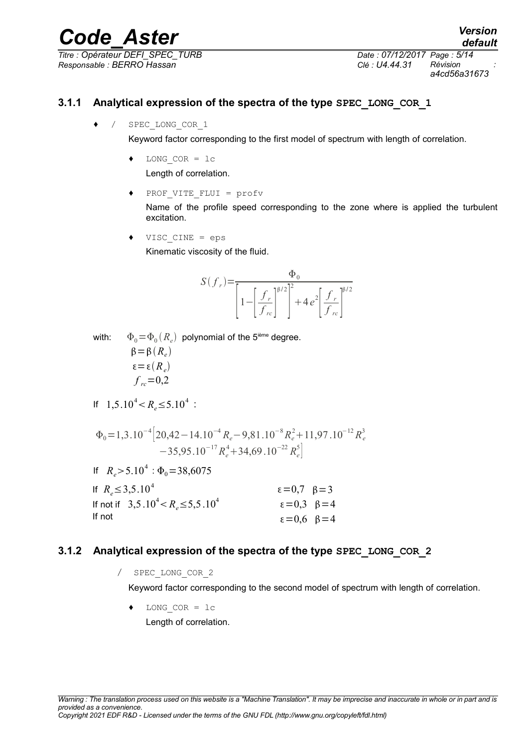*Titre : Opérateur DEFI\_SPEC\_TURB Date : 07/12/2017 Page : 5/14 Responsable : BERRO Hassan Clé : U4.44.31 Révision :*

*a4cd56a31673*

*default*

#### **3.1.1 Analytical expression of the spectra of the type SPEC\_LONG\_COR\_1**

♦ / SPEC\_LONG\_COR\_1

Keyword factor corresponding to the first model of spectrum with length of correlation.

♦ LONG\_COR = lc

Length of correlation.

PROF VITE FLUI = profv

Name of the profile speed corresponding to the zone where is applied the turbulent excitation.

 $VISC$   $CINE$  = eps

Kinematic viscosity of the fluid.

$$
S(f_r) = \frac{\Phi_0}{\left[1 - \left[\frac{f_r}{f_{rc}}\right]^{\beta/2}\right]^2 + 4e^2 \left[\frac{f_r}{f_{rc}}\right]^{\beta/2}}
$$

with:  $\Phi_0\!=\!\Phi_0(R_e)$  polynomial of the 5<sup>ième</sup> degree.  $\beta = \beta(R_e)$ 

$$
\varepsilon = \varepsilon(R_e)
$$
  

$$
f_{rc} = 0.2
$$

If 
$$
1,5.10^4 < R_e \le 5.10^4
$$
:

$$
\Phi_0 = 1,3.10^{-4} \left[ 20,42 - 14.10^{-4} R_e - 9,81.10^{-8} R_e^2 + 11,97.10^{-12} R_e^3 - 35,95.10^{-17} R_e^4 + 34,69.10^{-22} R_e^5 \right]
$$

If  $R_e > 5.10^4$  :  $\Phi_0 = 38,6075$ 

| If $R_e \leq 3,5.10^4$                  | $\varepsilon = 0.7 \quad \beta = 3$ |
|-----------------------------------------|-------------------------------------|
| If not if $3,5.10^4 < R_e \le 5,5.10^4$ | $\varepsilon = 0.3$ $\beta = 4$     |
| If not                                  | $\varepsilon = 0,6$ $\beta = 4$     |

### **3.1.2 Analytical expression of the spectra of the type SPEC\_LONG\_COR\_2**

/ SPEC\_LONG\_COR\_2

Keyword factor corresponding to the second model of spectrum with length of correlation.

♦ LONG\_COR = lc Length of correlation.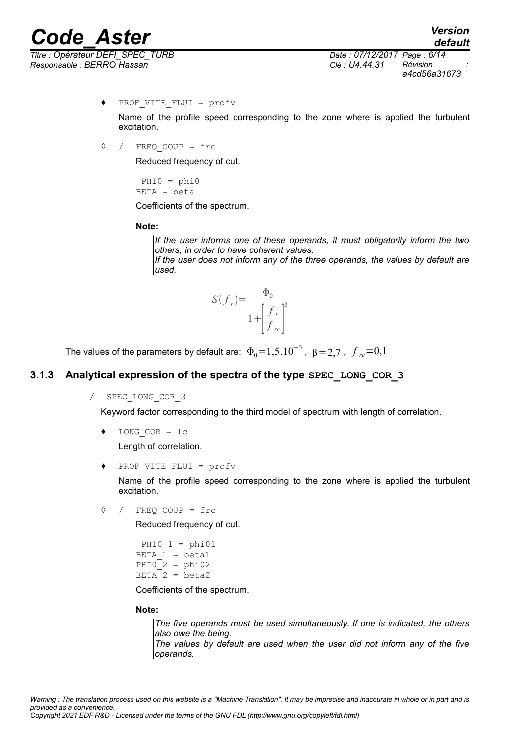# *Code*<br>*Confinateur DEFI SPEC TURB*<br>*Confinateur DEFI SPEC TURB*<br>*Confinateur DEFI SPEC TURB*

*Titre : Opérateur DEFI\_SPEC\_TURB Date : 07/12/2017 Page : 6/14 Responsable : BERRO Hassan Clé : U4.44.31 Révision :*

*a4cd56a31673*

*default*

♦ PROF\_VITE\_FLUI = profv

Name of the profile speed corresponding to the zone where is applied the turbulent excitation.

◊ / FREQ\_COUP = frc

Reduced frequency of cut.

 $PHI0 = phi0$  $BETA = beta$ 

Coefficients of the spectrum.

**Note:**

*If the user informs one of these operands, it must obligatorily inform the two others, in order to have coherent values.*

*If the user does not inform any of the three operands, the values by default are used.*

$$
S(f_r) = \frac{\Phi_0}{1 + \left[\frac{f_r}{f_{rc}}\right]^{\beta}}
$$

The values of the parameters by default are:  $\Phi_0\!=\!1,\!5.10^{-3}$  ,  $\beta\!=\!2,\!7$  ,  $\left.f_{\mathit{rc}}\!=\!0,\!1\right.$ 

#### **3.1.3 Analytical expression of the spectra of the type SPEC\_LONG\_COR\_3**

/ SPEC\_LONG\_COR\_3

Keyword factor corresponding to the third model of spectrum with length of correlation.

LONG  $COR = lc$ 

Length of correlation.

♦ PROF\_VITE\_FLUI = profv

Name of the profile speed corresponding to the zone where is applied the turbulent excitation.

◊ / FREQ\_COUP = frc

Reduced frequency of cut.

```
PHIO 1 = \text{phi}01BETA 1 = \text{beta1}PHIO 2 = \text{phi}02BETA 2 = \beta
```
Coefficients of the spectrum.

#### **Note:**

*The five operands must be used simultaneously. If one is indicated, the others also owe the being. The values by default are used when the user did not inform any of the five operands.*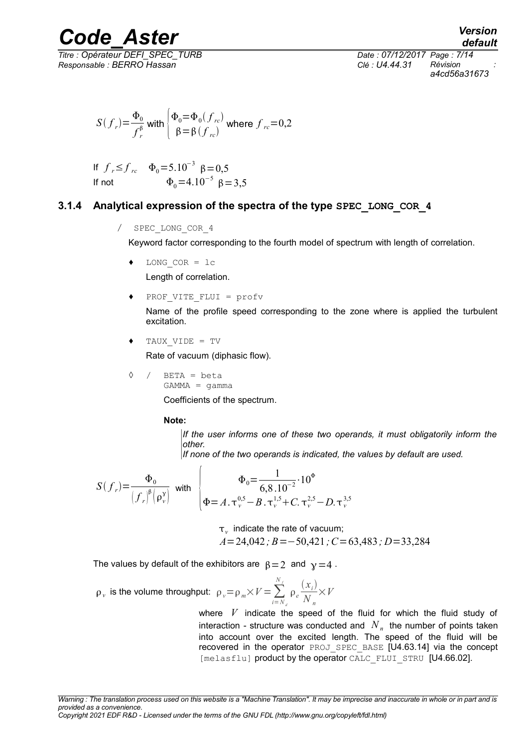*Responsable : BERRO Hassan Clé : U4.44.31 Révision :*

*Titre : Opérateur DEFI\_SPEC\_TURB Date : 07/12/2017 Page : 7/14 a4cd56a31673*

*default*

$$
S(f_r) = \frac{\Phi_0}{f_r^{\beta}}
$$
 with  $\begin{cases} \Phi_0 = \Phi_0(f_{rc}) \\ \beta = \beta(f_{rc}) \end{cases}$  where  $f_{rc} = 0, 2$ 

If 
$$
f_r \le f_{rc}
$$
  $\Phi_0 = 5.10^{-3} \beta = 0.5$   
If not  $\Phi_0 = 4.10^{-5} \beta = 3.5$ 

#### **3.1.4 Analytical expression of the spectra of the type SPEC\_LONG\_COR\_4**

/ SPEC\_LONG\_COR\_4

Keyword factor corresponding to the fourth model of spectrum with length of correlation.

LONG  $COR = lc$ 

Length of correlation.

PROF VITE FLUI = profv

Name of the profile speed corresponding to the zone where is applied the turbulent excitation.

TAUX VIDE = TV

Rate of vacuum (diphasic flow).

◊ / BETA = beta

 $GAMMA = \gamma$ amma

Coefficients of the spectrum.

#### **Note:**

*If the user informs one of these two operands, it must obligatorily inform the other.*

*If none of the two operands is indicated, the values by default are used.*

$$
S(f_r) = \frac{\Phi_0}{(f_r)^{\beta} (\rho_v^{\gamma})} \quad \text{with} \quad \begin{cases} \Phi_0 = \frac{1}{6,8.10^{-2}} \cdot 10^{\Phi} \\ \Phi = A \cdot \tau_v^{0.5} - B \cdot \tau_v^{1.5} + C \cdot \tau_v^{2.5} - D \cdot \tau_v^{3.5} \end{cases}
$$

 $\tau_{\rm \nu}$  indicate the rate of vacuum; *A*=24,042*; B*=−50,421*;C*=63,483*; D*=33,284

The values by default of the exhibitors are  $\beta = 2$  and  $\gamma = 4$ .

$$
\rho_{v} \text{ is the volume throughout: } \rho_{v} = \rho_{m} \times V = \sum_{i=N_d}^{N_f} \rho_{e} \frac{(x_i)}{N_n} \times V
$$

where *V* indicate the speed of the fluid for which the fluid study of interaction - structure was conducted and  $\left|N\right|_n$  the number of points taken into account over the excited length. The speed of the fluid will be recovered in the operator PROJ\_SPEC\_BASE [U4.63.14] via the concept [melasflu] product by the operator CALC\_FLUI\_STRU [U4.66.02].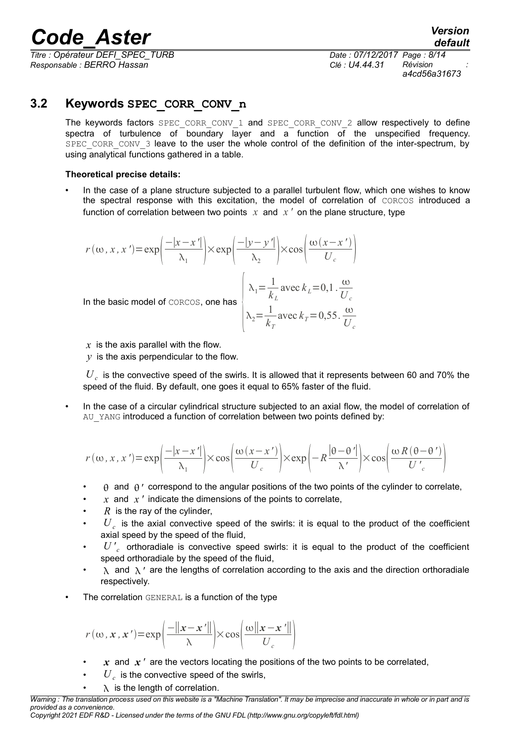*Titre : Opérateur DEFI\_SPEC\_TURB Date : 07/12/2017 Page : 8/14 Responsable : BERRO Hassan Clé : U4.44.31 Révision :*

*a4cd56a31673*

### **3.2 Keywords SPEC\_CORR\_CONV\_n**

The keywords factors SPEC CORR CONV 1 and SPEC CORR CONV 2 allow respectively to define spectra of turbulence of boundary layer and a function of the unspecified frequency. SPEC CORR CONV 3 leave to the user the whole control of the definition of the inter-spectrum, by using analytical functions gathered in a table.

#### **Theoretical precise details:**

• In the case of a plane structure subjected to a parallel turbulent flow, which one wishes to know the spectral response with this excitation, the model of correlation of CORCOS introduced a function of correlation between two points  $x$  and  $x'$  on the plane structure, type

$$
r(\omega, x, x') = \exp\left(\frac{-|x - x'|}{\lambda_1}\right) \times \exp\left(\frac{-|y - y'|}{\lambda_2}\right) \times \cos\left(\frac{\omega(x - x')}{U_c}\right)
$$
  
In the basic model of concos, one has  

$$
\lambda_1 = \frac{1}{k_L} \text{ avec } k_L = 0, 1 \cdot \frac{\omega}{U_c}
$$

$$
\lambda_2 = \frac{1}{k_T} \text{ avec } k_T = 0, 55 \cdot \frac{\omega}{U_c}
$$

*x* is the axis parallel with the flow.

 $\gamma$  is the axis perpendicular to the flow.

 $\overline{U}_c$  is the convective speed of the swirls. It is allowed that it represents between 60 and 70% the speed of the fluid. By default, one goes it equal to 65% faster of the fluid.

In the case of a circular cylindrical structure subjected to an axial flow, the model of correlation of AU YANG introduced a function of correlation between two points defined by:

$$
r(\omega, x, x') = \exp\left(\frac{-|x - x'|}{\lambda_1}\right) \times \cos\left(\frac{\omega(x - x')}{U_c}\right) \times \exp\left(-R\frac{|\theta - \theta'|}{\lambda'}\right) \times \cos\left(\frac{\omega R(\theta - \theta')}{U_c}\right)
$$

- $\theta$  and  $\theta'$  correspond to the angular positions of the two points of the cylinder to correlate,
- $\overline{x}$  and  $\overline{x}$  *'* indicate the dimensions of the points to correlate,
- $R$  is the ray of the cylinder,
- $\bm{\cdot} \bm{U}_c$  is the axial convective speed of the swirls: it is equal to the product of the coefficient axial speed by the speed of the fluid,
- *U ' c* orthoradiale is convective speed swirls: it is equal to the product of the coefficient speed orthoradiale by the speed of the fluid,
- $\lambda$  and  $\lambda'$  are the lengths of correlation according to the axis and the direction orthoradiale respectively.
- The correlation GENERAL is a function of the type

$$
r(\omega, \mathbf{x}, \mathbf{x}') = \exp\left(\frac{-\|\mathbf{x} - \mathbf{x}'\|}{\lambda}\right) \times \cos\left(\frac{\omega\|\mathbf{x} - \mathbf{x}'\|}{U_c}\right)
$$

- *x* and *x '* are the vectors locating the positions of the two points to be correlated,
- $\cdot$   $\quad$   $U_{c}$  is the convective speed of the swirls,
- $\lambda$  is the length of correlation.

*Warning : The translation process used on this website is a "Machine Translation". It may be imprecise and inaccurate in whole or in part and is provided as a convenience.*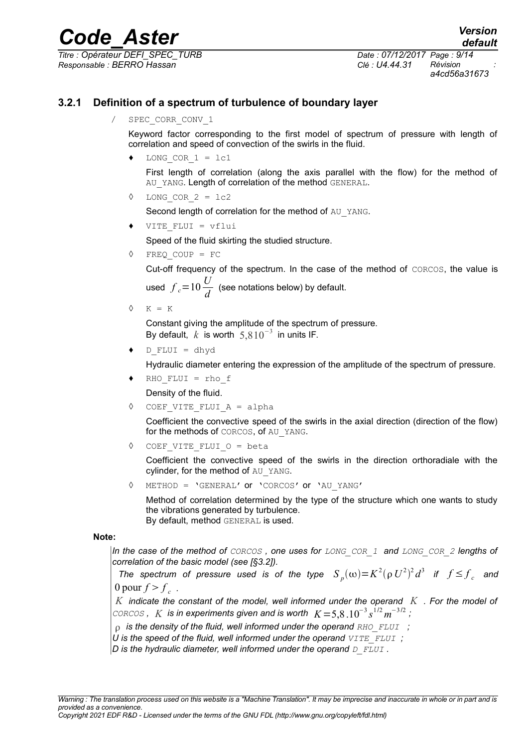# *Code\_Aster*<br> *Conference Conference Crue Berger Crue Date : 07/12/2017 Page : 9/14*

*Titre : Opérateur DEFI\_SPEC\_TURB Date : 07/12/2017 Page : 9/14 Responsable : BERRO Hassan Clé : U4.44.31 Révision :*

*a4cd56a31673*

### **3.2.1 Definition of a spectrum of turbulence of boundary layer**

SPEC CORR CONV 1

Keyword factor corresponding to the first model of spectrum of pressure with length of correlation and speed of convection of the swirls in the fluid.

LONG COR  $1 = lc1$ 

First length of correlation (along the axis parallel with the flow) for the method of AU YANG. Length of correlation of the method GENERAL.

LONG COR  $2 = lc2$ 

Second length of correlation for the method of AU YANG.

VITE FLUI = vflui

Speed of the fluid skirting the studied structure.

◊ FREQ\_COUP = FC

Cut-off frequency of the spectrum. In the case of the method of CORCOS, the value is used  $f_c$ = $10 \frac{U}{d}$  (see notations below) by default.

 $\Diamond$  K = K

Constant giving the amplitude of the spectrum of pressure. By default,  $k$  is worth  $5,8\,10^{-3}$  in units IF.

 $D$  FLUI = dhyd

Hydraulic diameter entering the expression of the amplitude of the spectrum of pressure.

 $RHO$  FLUI = rho f

Density of the fluid.

◊ COEF\_VITE\_FLUI\_A = alpha

Coefficient the convective speed of the swirls in the axial direction (direction of the flow) for the methods of CORCOS, of AU\_YANG.

◊ COEF\_VITE\_FLUI\_O = beta

Coefficient the convective speed of the swirls in the direction orthoradiale with the cylinder, for the method of AU\_YANG.

◊ METHOD = 'GENERAL' or 'CORCOS' or 'AU\_YANG'

Method of correlation determined by the type of the structure which one wants to study the vibrations generated by turbulence. By default, method GENERAL is used.

**Note:**

*In the case of the method of CORCOS , one uses for LONG\_COR\_1 and LONG\_COR\_2 lengths of correlation of the basic model (see [§3.2]).*

*The spectrum of pressure used is of the type*  $S_p(\omega) = K^2(\rho U^2)^2 d^3$  *if*  $f \leq f_c$  *and* 0 pour  $f > f_c$ .

*K indicate the constant of the model, well informed under the operand K . For the model of CORCOS*, *K* is in experiments given and is worth  $K = 5.8 \cdot 10^{-3} s^{1/2} m^{-3/2}$ ;

 *is the density of the fluid, well informed under the operand RHO\_FLUI ;*

- *U is the speed of the fluid, well informed under the operand VITE\_FLUI ;*
- *D is the hydraulic diameter, well informed under the operand D\_FLUI .*

*Copyright 2021 EDF R&D - Licensed under the terms of the GNU FDL (http://www.gnu.org/copyleft/fdl.html)*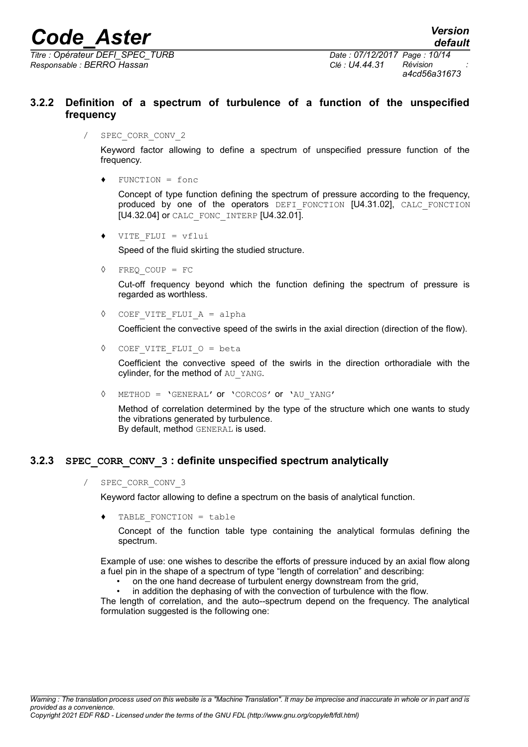*Titre : Opérateur DEFI\_SPEC\_TURB Date : 07/12/2017 Page : 10/14 Responsable : BERRO Hassan Clé : U4.44.31 Révision :*

*default*

#### **3.2.2 Definition of a spectrum of turbulence of a function of the unspecified frequency**

SPEC CORR CONV 2

Keyword factor allowing to define a spectrum of unspecified pressure function of the frequency.

 $FUNCTION = f$ onc

Concept of type function defining the spectrum of pressure according to the frequency, produced by one of the operators DEFI FONCTION [U4.31.02], CALC FONCTION [U4.32.04] or CALC\_FONC\_INTERP [U4.32.01].

VITE FLUI =  $v$ flui

Speed of the fluid skirting the studied structure.

◊ FREQ\_COUP = FC

Cut-off frequency beyond which the function defining the spectrum of pressure is regarded as worthless.

◊ COEF\_VITE\_FLUI\_A = alpha

Coefficient the convective speed of the swirls in the axial direction (direction of the flow).

◊ COEF\_VITE\_FLUI\_O = beta

Coefficient the convective speed of the swirls in the direction orthoradiale with the cylinder, for the method of AU\_YANG.

◊ METHOD = 'GENERAL' or 'CORCOS' or 'AU\_YANG'

Method of correlation determined by the type of the structure which one wants to study the vibrations generated by turbulence. By default, method GENERAL is used.

#### **3.2.3 SPEC\_CORR\_CONV\_3 : definite unspecified spectrum analytically**

/ SPEC\_CORR\_CONV\_3

Keyword factor allowing to define a spectrum on the basis of analytical function.

TABLE FONCTION = table

Concept of the function table type containing the analytical formulas defining the spectrum.

Example of use: one wishes to describe the efforts of pressure induced by an axial flow along a fuel pin in the shape of a spectrum of type "length of correlation" and describing:

- on the one hand decrease of turbulent energy downstream from the grid,
- in addition the dephasing of with the convection of turbulence with the flow.

The length of correlation, and the auto--spectrum depend on the frequency. The analytical formulation suggested is the following one: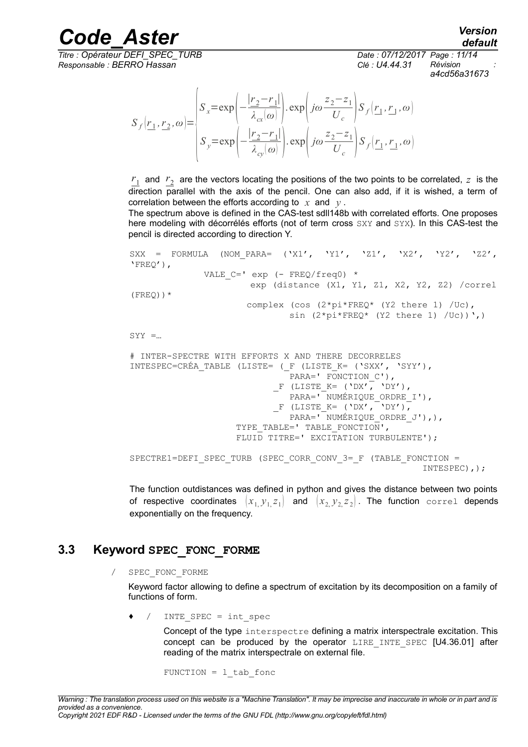*Titre : Opérateur DEFI\_SPEC\_TURB Date : 07/12/2017 Page : 11/14 Responsable : BERRO Hassan Clé : U4.44.31 Révision :*

*default a4cd56a31673*

$$
S_f(\underline{r_1}, \underline{r_2}, \omega) = \begin{cases} S_x = \exp\left(-\frac{|\underline{r_2} - \underline{r_1}|}{\lambda_{cx}(\omega)}\right) \cdot \exp\left(j\omega \frac{z_2 - z_1}{U_c}\right) S_f(\underline{r_1}, \underline{r_1}, \omega) \\ S_y = \exp\left(-\frac{|\underline{r_2} - \underline{r_1}|}{\lambda_{cy}(\omega)}\right) \cdot \exp\left(j\omega \frac{z_2 - z_1}{U_c}\right) S_f(\underline{r_1}, \underline{r_1}, \omega) \end{cases}
$$

 $r_1$  and  $r_2$  are the vectors locating the positions of the two points to be correlated,  $z$  is the direction parallel with the axis of the pencil. One can also add, if it is wished, a term of correlation between the efforts according to *x* and *y* .

The spectrum above is defined in the CAS-test sdll148b with correlated efforts. One proposes here modeling with décorrélés efforts (not of term cross SXY and SYX). In this CAS-test the pencil is directed according to direction Y.

```
SXX = FORMULA (NOM PARA= ('X1', 'Y1', 'Z1', 'X2', 'Y2', 'Z2',
'FREQ'),
             VALE C=' exp (- FREQ/freq0) *
                       exp (distance (X1, Y1, Z1, X2, Y2, Z2) /correl
(FREQ)) *
                       complex (cos (2*pi*FREQ* (Y2 there 1) /Uc),
                              sin (2*pi*FREQ* (Y2 there 1) /Uc)),
SYY = ...# INTER-SPECTRE WITH EFFORTS X AND THERE DECORRELES
```

```
INTESPEC=CRÉA_TABLE (LISTE= (_F (LISTE_K= ('SXX', 'SYY'),
                               PARA=' FONCTION C'),
                             F (LISTE K= ('DX', 'DY'),
                               PARA=' NUMÉRIQUE_ORDRE_I'),
                             \Gamma (LISTE K= ('DX', 'DY'),
                               PARA='<sup>-</sup>NUMÉRIQUE ORDRE J'),),
                     TYPE TABLE=' TABLE FONCTION',
                     FLUID TITRE=' EXCITATION TURBULENTE');
SPECTRE1=DEFI_SPEC_TURB (SPEC_CORR_CONV_3=_F (TABLE_FONCTION = 
                                                            INTESPEC),);
```
The function outdistances was defined in python and gives the distance between two points of respective coordinates  $(x_1, y_1, z_1)$  and  $(x_2, y_2, z_2)$ . The function correl depends exponentially on the frequency.

### **3.3 Keyword SPEC\_FONC\_FORME**

/ SPEC\_FONC\_FORME

Keyword factor allowing to define a spectrum of excitation by its decomposition on a family of functions of form.

 $\bullet$  / INTE SPEC = int spec

Concept of the type interspectre defining a matrix interspectrale excitation. This concept can be produced by the operator LIRE INTE SPEC [U4.36.01] after reading of the matrix interspectrale on external file.

FUNCTION =  $1$  tab fonc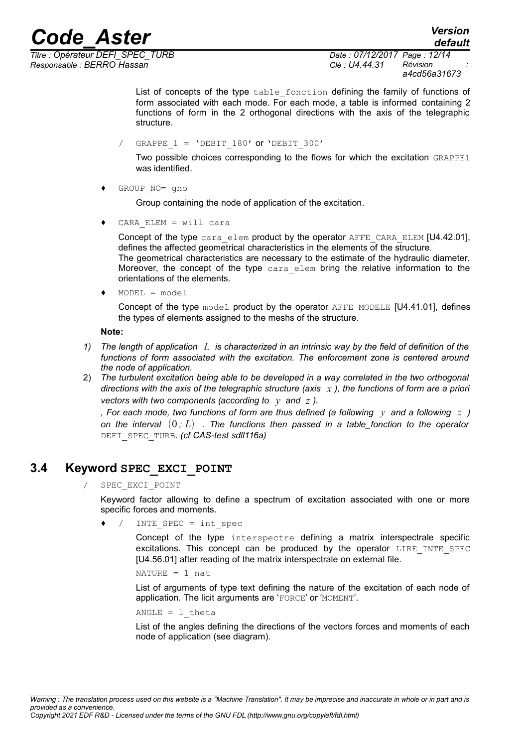*Titre : Opérateur DEFI\_SPEC\_TURB Date : 07/12/2017 Page : 12/14 Responsable : BERRO Hassan Clé : U4.44.31 Révision :*

*a4cd56a31673*

List of concepts of the type table fonction defining the family of functions of form associated with each mode. For each mode, a table is informed containing 2 functions of form in the 2 orthogonal directions with the axis of the telegraphic structure.

/ GRAPPE  $1 = 'DEF1180'$  or 'DEBIT 300'

Two possible choices corresponding to the flows for which the excitation GRAPPE1 was identified.

GROUP NO= gno

Group containing the node of application of the excitation.

 $CARA$  ELEM = will cara

Concept of the type cara elem product by the operator AFFE\_CARA\_ELEM [U4.42.01], defines the affected geometrical characteristics in the elements of the structure. The geometrical characteristics are necessary to the estimate of the hydraulic diameter. Moreover, the concept of the type cara elem bring the relative information to the orientations of the elements.

 $MODEL = model$ 

Concept of the type  $model$  product by the operator  $AFFE$  MODELE [U4.41.01], defines the types of elements assigned to the meshs of the structure.

**Note:**

- *1) The length of application L is characterized in an intrinsic way by the field of definition of the functions of form associated with the excitation. The enforcement zone is centered around the node of application.*
- 2) *The turbulent excitation being able to be developed in a way correlated in the two orthogonal directions with the axis of the telegraphic structure (axis x ), the functions of form are a priori vectors with two components (according to y and z ).*

*, For each mode, two functions of form are thus defined (a following y and a following z ) on the interval*  $(0, L)$  . The functions then passed in a table\_fonction to the operator DEFI\_SPEC\_TURB*. (cf CAS-test sdll116a)*

### **3.4 Keyword SPEC\_EXCI\_POINT**

SPEC EXCI POINT

Keyword factor allowing to define a spectrum of excitation associated with one or more specific forces and moments.

 $\bullet$  / INTE SPEC = int spec

Concept of the type interspectre defining a matrix interspectrale specific excitations. This concept can be produced by the operator LIRE INTE SPEC [U4.56.01] after reading of the matrix interspectrale on external file.

NATURE  $=$  1 nat

List of arguments of type text defining the nature of the excitation of each node of application. The licit arguments are 'FORCE' or 'MOMENT'.

ANGLE =  $1$  theta

List of the angles defining the directions of the vectors forces and moments of each node of application (see diagram).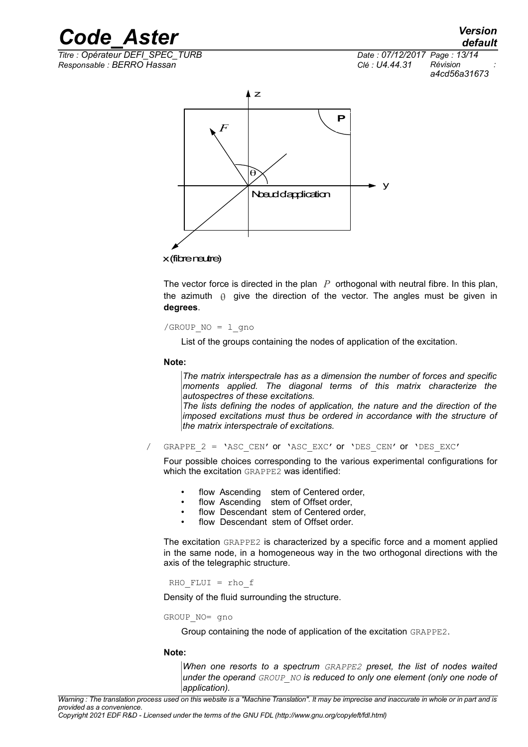

*Responsable : BERRO Hassan Clé : U4.44.31 Révision :*

*Titre : Opérateur DEFI\_SPEC\_TURB Date : 07/12/2017 Page : 13/14 a4cd56a31673*



x (fibre neutre)

The vector force is directed in the plan *P* orthogonal with neutral fibre. In this plan, the azimuth  $\theta$  give the direction of the vector. The angles must be given in **degrees**.

/GROUP  $NO = 1$  gno

List of the groups containing the nodes of application of the excitation.

#### **Note:**

*The matrix interspectrale has as a dimension the number of forces and specific moments applied. The diagonal terms of this matrix characterize the autospectres of these excitations.*

*The lists defining the nodes of application, the nature and the direction of the imposed excitations must thus be ordered in accordance with the structure of the matrix interspectrale of excitations.*

/ GRAPPE\_2 = 'ASC\_CEN' or 'ASC\_EXC' or 'DES\_CEN' or 'DES\_EXC'

Four possible choices corresponding to the various experimental configurations for which the excitation GRAPPE2 was identified:

- flow Ascending stem of Centered order,
- flow Ascending stem of Offset order.
- flow Descendant stem of Centered order.
- flow Descendant stem of Offset order.

The excitation GRAPPE2 is characterized by a specific force and a moment applied in the same node, in a homogeneous way in the two orthogonal directions with the axis of the telegraphic structure.

#### RHO\_FLUI = rho\_f

Density of the fluid surrounding the structure.

#### GROUP\_NO= gno

Group containing the node of application of the excitation GRAPPE2.

#### **Note:**

*When one resorts to a spectrum GRAPPE2 preset, the list of nodes waited under the operand GROUP\_NO is reduced to only one element (only one node of application).*